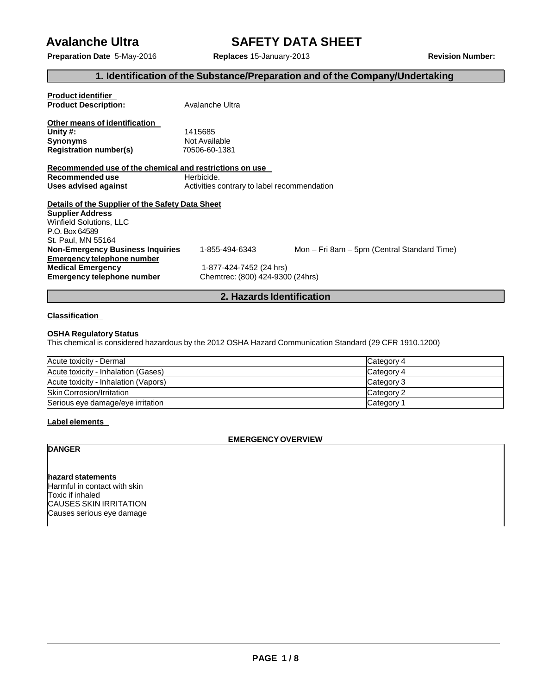# **Avalanche Ultra SAFETY DATA SHEET**

**Preparation Date** 5-May-2016 **Replaces** 15-January-2013 **Revision Number:**

# **1. Identification of the Substance/Preparation and of the Company/Undertaking**

| <b>Product identifier</b><br><b>Product Description:</b>                                                                                              | Avalanche Ultra                             |                                             |  |  |
|-------------------------------------------------------------------------------------------------------------------------------------------------------|---------------------------------------------|---------------------------------------------|--|--|
| Other means of identification<br>Unity $#$ :<br><b>Synonyms</b><br><b>Registration number(s)</b>                                                      | 1415685<br>Not Available<br>70506-60-1381   |                                             |  |  |
| Recommended use of the chemical and restrictions on use                                                                                               |                                             |                                             |  |  |
| Recommended use                                                                                                                                       | Herbicide.                                  |                                             |  |  |
| Uses advised against                                                                                                                                  | Activities contrary to label recommendation |                                             |  |  |
| Details of the Supplier of the Safety Data Sheet<br><b>Supplier Address</b><br><b>Winfield Solutions, LLC</b><br>P.O. Box 64589<br>St. Paul, MN 55164 |                                             |                                             |  |  |
| <b>Non-Emergency Business Inquiries</b>                                                                                                               | 1-855-494-6343                              | Mon – Fri 8am – 5pm (Central Standard Time) |  |  |
| Emergency telephone number                                                                                                                            |                                             |                                             |  |  |
| <b>Medical Emergency</b>                                                                                                                              | 1-877-424-7452 (24 hrs)                     |                                             |  |  |
| Emergency telephone number                                                                                                                            |                                             | Chemtrec: (800) 424-9300 (24hrs)            |  |  |
|                                                                                                                                                       |                                             |                                             |  |  |

# **2. Hazards Identification**

#### **Classification**

#### **OSHA Regulatory Status**

This chemical is considered hazardous by the 2012 OSHA Hazard Communication Standard (29 CFR 1910.1200)

| Acute toxicity - Dermal              | Category 4 |
|--------------------------------------|------------|
| Acute toxicity - Inhalation (Gases)  | Category 4 |
| Acute toxicity - Inhalation (Vapors) | Category 3 |
| <b>Skin Corrosion/Irritation</b>     | Category 2 |
| Serious eye damage/eye irritation    | Category 1 |

#### **Label elements**

### **EMERGENCYOVERVIEW**

# **DANGER**

**hazard statements** Harmful in contact with skin Toxic if inhaled CAUSES SKIN IRRITATION Causes serious eye damage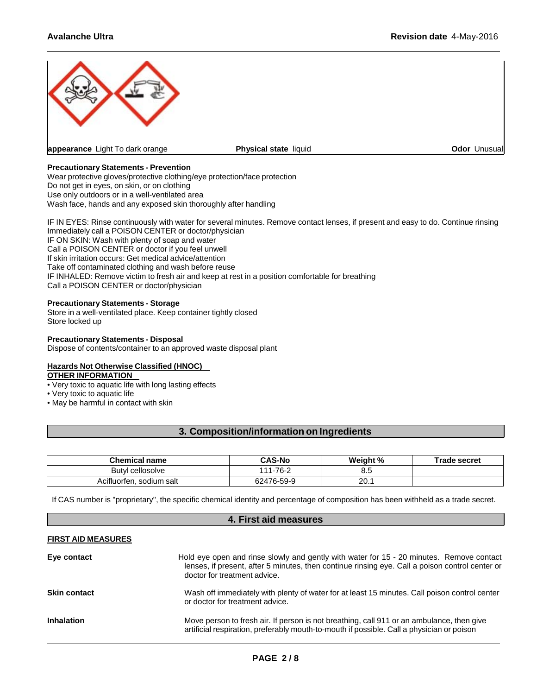

#### **Precautionary Statements - Prevention**

Wear protective gloves/protective clothing/eye protection/face protection Do not get in eyes, on skin, or on clothing Use only outdoors or in a well-ventilated area Wash face, hands and any exposed skin thoroughly after handling

IF IN EYES: Rinse continuously with water for several minutes. Remove contact lenses, if present and easy to do. Continue rinsing Immediately call a POISON CENTER or doctor/physician IF ON SKIN: Wash with plenty of soap and water Call a POISON CENTER or doctor if you feel unwell If skin irritation occurs: Get medical advice/attention Take off contaminated clothing and wash before reuse

IF INHALED: Remove victim to fresh air and keep at rest in a position comfortable for breathing Call a POISON CENTER or doctor/physician

#### **Precautionary Statements - Storage**

Store in a well-ventilated place. Keep container tightly closed Store locked up

**Precautionary Statements - Disposal** Dispose of contents/container to an approved waste disposal plant

### **Hazards Not Otherwise Classified (HNOC)**

# **OTHER INFORMATION**

- Very toxic to aquatic life with long lasting effects
- Very toxic to aquatic life
- May be harmful in contact with skin

# **3. Composition/information on Ingredients**

| <b>Chemical name</b>     | <b>CAS-No</b> | <b>Weight</b> % | <b>Trade secret</b> |
|--------------------------|---------------|-----------------|---------------------|
| Butyl cellosolve         | 111-76-2      | 8.5             |                     |
| Acifluorfen, sodium salt | 62476-59-9    | 20.′            |                     |

If CAS number is "proprietary", the specific chemical identity and percentage of composition has been withheld as a trade secret.

| 4. First aid measures     |                                                                                                                                                                                                                             |  |  |
|---------------------------|-----------------------------------------------------------------------------------------------------------------------------------------------------------------------------------------------------------------------------|--|--|
| <b>FIRST AID MEASURES</b> |                                                                                                                                                                                                                             |  |  |
| Eye contact               | Hold eye open and rinse slowly and gently with water for 15 - 20 minutes. Remove contact<br>lenses, if present, after 5 minutes, then continue rinsing eye. Call a poison control center or<br>doctor for treatment advice. |  |  |
| <b>Skin contact</b>       | Wash off immediately with plenty of water for at least 15 minutes. Call poison control center<br>or doctor for treatment advice.                                                                                            |  |  |
| <b>Inhalation</b>         | Move person to fresh air. If person is not breathing, call 911 or an ambulance, then give<br>artificial respiration, preferably mouth-to-mouth if possible. Call a physician or poison                                      |  |  |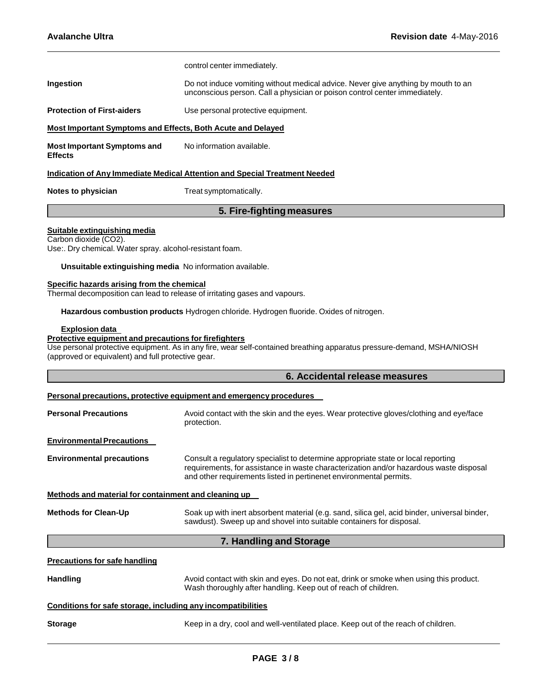|                                                                                                                                                                                                                                                                                                                                                                                                                                                                                                                                                                                                                                                                        | control center immediately.                                                                                                                                                                                                                       |  |  |
|------------------------------------------------------------------------------------------------------------------------------------------------------------------------------------------------------------------------------------------------------------------------------------------------------------------------------------------------------------------------------------------------------------------------------------------------------------------------------------------------------------------------------------------------------------------------------------------------------------------------------------------------------------------------|---------------------------------------------------------------------------------------------------------------------------------------------------------------------------------------------------------------------------------------------------|--|--|
| Ingestion                                                                                                                                                                                                                                                                                                                                                                                                                                                                                                                                                                                                                                                              | Do not induce vomiting without medical advice. Never give anything by mouth to an<br>unconscious person. Call a physician or poison control center immediately.                                                                                   |  |  |
| <b>Protection of First-aiders</b>                                                                                                                                                                                                                                                                                                                                                                                                                                                                                                                                                                                                                                      | Use personal protective equipment.                                                                                                                                                                                                                |  |  |
| Most Important Symptoms and Effects, Both Acute and Delayed                                                                                                                                                                                                                                                                                                                                                                                                                                                                                                                                                                                                            |                                                                                                                                                                                                                                                   |  |  |
| <b>Most Important Symptoms and</b><br><b>Effects</b>                                                                                                                                                                                                                                                                                                                                                                                                                                                                                                                                                                                                                   | No information available.                                                                                                                                                                                                                         |  |  |
|                                                                                                                                                                                                                                                                                                                                                                                                                                                                                                                                                                                                                                                                        | <b>Indication of Any Immediate Medical Attention and Special Treatment Needed</b>                                                                                                                                                                 |  |  |
| Notes to physician                                                                                                                                                                                                                                                                                                                                                                                                                                                                                                                                                                                                                                                     | Treat symptomatically.                                                                                                                                                                                                                            |  |  |
|                                                                                                                                                                                                                                                                                                                                                                                                                                                                                                                                                                                                                                                                        | 5. Fire-fighting measures                                                                                                                                                                                                                         |  |  |
| Suitable extinguishing media<br>Carbon dioxide (CO2).<br>Use:. Dry chemical. Water spray. alcohol-resistant foam.<br>Unsuitable extinguishing media No information available.<br>Specific hazards arising from the chemical<br>Thermal decomposition can lead to release of irritating gases and vapours.<br>Hazardous combustion products Hydrogen chloride. Hydrogen fluoride. Oxides of nitrogen.<br><b>Explosion data</b><br>Protective equipment and precautions for firefighters<br>Use personal protective equipment. As in any fire, wear self-contained breathing apparatus pressure-demand, MSHA/NIOSH<br>(approved or equivalent) and full protective gear. |                                                                                                                                                                                                                                                   |  |  |
|                                                                                                                                                                                                                                                                                                                                                                                                                                                                                                                                                                                                                                                                        | 6. Accidental release measures                                                                                                                                                                                                                    |  |  |
|                                                                                                                                                                                                                                                                                                                                                                                                                                                                                                                                                                                                                                                                        | Personal precautions, protective equipment and emergency procedures                                                                                                                                                                               |  |  |
| <b>Personal Precautions</b>                                                                                                                                                                                                                                                                                                                                                                                                                                                                                                                                                                                                                                            | Avoid contact with the skin and the eyes. Wear protective gloves/clothing and eye/face<br>protection.                                                                                                                                             |  |  |
| <b>Environmental Precautions</b>                                                                                                                                                                                                                                                                                                                                                                                                                                                                                                                                                                                                                                       |                                                                                                                                                                                                                                                   |  |  |
| <b>Environmental precautions</b>                                                                                                                                                                                                                                                                                                                                                                                                                                                                                                                                                                                                                                       | Consult a regulatory specialist to determine appropriate state or local reporting<br>requirements, for assistance in waste characterization and/or hazardous waste disposal<br>and other requirements listed in pertinenet environmental permits. |  |  |

#### **Methods and material for containment and cleaning up**

| <b>Methods for Clean-Up</b> | Soak up with inert absorbent material (e.g. sand, silica gel, acid binder, universal binder, |
|-----------------------------|----------------------------------------------------------------------------------------------|
|                             | sawdust). Sweep up and shovel into suitable containers for disposal.                         |

# **7. Handling and Storage**

**Precautions for safe handling**

Handling **Avoid contact with skin and eyes. Do not eat, drink or smoke when using this product.** Wash thoroughly after handling. Keep out of reach of children.

#### **Conditions for safe storage, including any incompatibilities**

**Storage** Keep in a dry, cool and well-ventilated place. Keep out of the reach of children.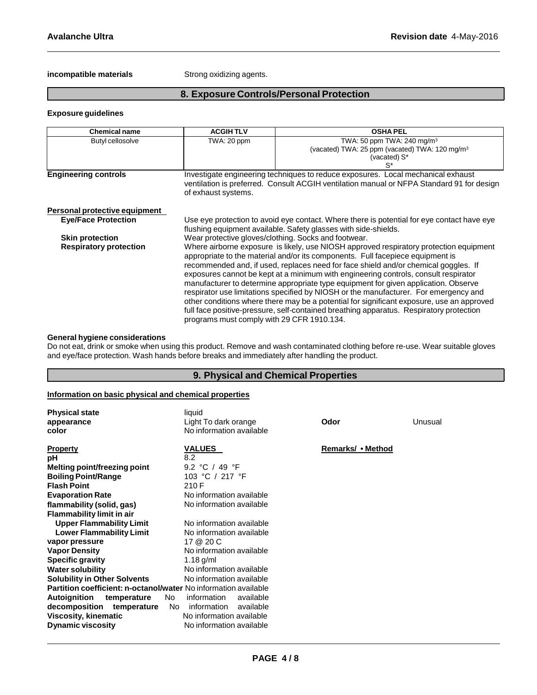#### **incompatible materials** Strong oxidizing agents.

# **8. Exposure Controls/Personal Protection**

#### **Exposure guidelines**

| <b>Chemical name</b>          | <b>ACGIHTLV</b>                                                                                                                                                                                                                                                                                                                                                                                                                                                                                                                                                                                                                                                                                                                                                             | <b>OSHA PEL</b>                                                                                                               |  |  |
|-------------------------------|-----------------------------------------------------------------------------------------------------------------------------------------------------------------------------------------------------------------------------------------------------------------------------------------------------------------------------------------------------------------------------------------------------------------------------------------------------------------------------------------------------------------------------------------------------------------------------------------------------------------------------------------------------------------------------------------------------------------------------------------------------------------------------|-------------------------------------------------------------------------------------------------------------------------------|--|--|
| Butyl cellosolve              | TWA: 20 ppm                                                                                                                                                                                                                                                                                                                                                                                                                                                                                                                                                                                                                                                                                                                                                                 | TWA: 50 ppm TWA: 240 mg/m <sup>3</sup><br>(vacated) TWA: 25 ppm (vacated) TWA: 120 mg/m <sup>3</sup><br>(vacated) S*<br>$S^*$ |  |  |
| <b>Engineering controls</b>   | Investigate engineering techniques to reduce exposures. Local mechanical exhaust<br>ventilation is preferred. Consult ACGIH ventilation manual or NFPA Standard 91 for design<br>of exhaust systems.                                                                                                                                                                                                                                                                                                                                                                                                                                                                                                                                                                        |                                                                                                                               |  |  |
| Personal protective equipment |                                                                                                                                                                                                                                                                                                                                                                                                                                                                                                                                                                                                                                                                                                                                                                             |                                                                                                                               |  |  |
| <b>Eye/Face Protection</b>    | Use eye protection to avoid eye contact. Where there is potential for eye contact have eye<br>flushing equipment available. Safety glasses with side-shields.                                                                                                                                                                                                                                                                                                                                                                                                                                                                                                                                                                                                               |                                                                                                                               |  |  |
| <b>Skin protection</b>        | Wear protective gloves/clothing. Socks and footwear.                                                                                                                                                                                                                                                                                                                                                                                                                                                                                                                                                                                                                                                                                                                        |                                                                                                                               |  |  |
| <b>Respiratory protection</b> | Where airborne exposure is likely, use NIOSH approved respiratory protection equipment<br>appropriate to the material and/or its components. Full facepiece equipment is<br>recommended and, if used, replaces need for face shield and/or chemical goggles. If<br>exposures cannot be kept at a minimum with engineering controls, consult respirator<br>manufacturer to determine appropriate type equipment for given application. Observe<br>respirator use limitations specified by NIOSH or the manufacturer. For emergency and<br>other conditions where there may be a potential for significant exposure, use an approved<br>full face positive-pressure, self-contained breathing apparatus. Respiratory protection<br>programs must comply with 29 CFR 1910.134. |                                                                                                                               |  |  |

#### **General hygiene considerations**

Do not eat, drink or smoke when using this product. Remove and wash contaminated clothing before re-use. Wear suitable gloves and eye/face protection. Wash hands before breaks and immediately after handling the product.

# **9. Physical and Chemical Properties**

#### **Information on basic physical and chemical properties**

| <b>Physical state</b><br>appearance<br>color                           | liquid<br>Light To dark orange<br>No information available | Odor              | Unusual |  |
|------------------------------------------------------------------------|------------------------------------------------------------|-------------------|---------|--|
| <b>Property</b>                                                        | <b>VALUES</b>                                              | Remarks/ • Method |         |  |
| рH                                                                     | 8.2                                                        |                   |         |  |
| Melting point/freezing point                                           | 9.2 °C / 49 °F                                             |                   |         |  |
| <b>Boiling Point/Range</b>                                             | 103 °C / 217 °F                                            |                   |         |  |
| <b>Flash Point</b>                                                     | 210 F                                                      |                   |         |  |
| <b>Evaporation Rate</b>                                                | No information available                                   |                   |         |  |
| flammability (solid, gas)                                              | No information available                                   |                   |         |  |
| Flammability limit in air                                              |                                                            |                   |         |  |
| <b>Upper Flammability Limit</b>                                        | No information available                                   |                   |         |  |
| <b>Lower Flammability Limit</b>                                        | No information available                                   |                   |         |  |
| vapor pressure                                                         | 17 @ 20 C                                                  |                   |         |  |
| <b>Vapor Density</b>                                                   | No information available                                   |                   |         |  |
| <b>Specific gravity</b>                                                | 1.18 $g/ml$                                                |                   |         |  |
| <b>Water solubility</b>                                                | No information available                                   |                   |         |  |
| <b>Solubility in Other Solvents</b>                                    | No information available                                   |                   |         |  |
| <b>Partition coefficient: n-octanol/water No information available</b> |                                                            |                   |         |  |
| <b>Autoignition</b><br>temperature<br>No.                              | information<br>available                                   |                   |         |  |
| decomposition<br>No.<br>temperature                                    | available<br>information                                   |                   |         |  |
| <b>Viscosity, kinematic</b>                                            | No information available                                   |                   |         |  |
| <b>Dynamic viscosity</b>                                               | No information available                                   |                   |         |  |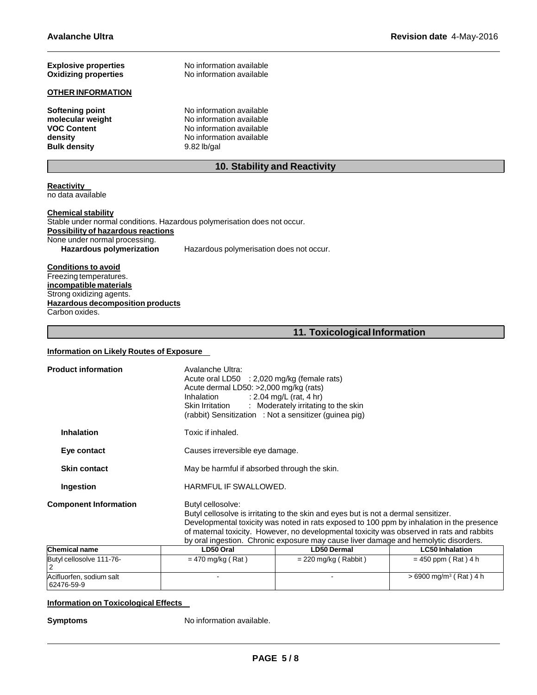| <b>Explosive properties</b><br><b>Oxidizing properties</b><br><b>OTHER INFORMATION</b> | No information available<br>No information available |
|----------------------------------------------------------------------------------------|------------------------------------------------------|
| <b>Softening point</b>                                                                 | No information available                             |
| molecular weight                                                                       | No information available                             |
| <b>VOC Content</b>                                                                     | No information available                             |
| density                                                                                | No information available                             |
| <b>Bulk density</b>                                                                    | $9.82$ lb/gal                                        |

# **10. Stability and Reactivity**

#### **Reactivity** no data available

**Chemical stability** Stable under normal conditions. Hazardous polymerisation does not occur. **Possibility of hazardous reactions** None under normal processing.<br>Hazardous polymerization **Hazardous polymerisation does not occur.** 

**Conditions to avoid** Freezing temperatures. **incompatible materials** Strong oxidizing agents. **Hazardous decomposition products** Carbon oxides.

# **11. Toxicological Information**

#### **Information on Likely Routes of Exposure**

| <b>Product information</b>   | Avalanche Ultra:<br>Acute oral LD50 : 2,020 mg/kg (female rats)<br>Acute dermal LD50: >2,000 mg/kg (rats)<br>: 2.04 mg/L (rat, 4 hr)<br>Inhalation<br>Skin Irritation : Moderately irritating to the skin<br>(rabbit) Sensitization : Not a sensitizer (guinea pig)                                                                                                                       |
|------------------------------|-------------------------------------------------------------------------------------------------------------------------------------------------------------------------------------------------------------------------------------------------------------------------------------------------------------------------------------------------------------------------------------------|
| <b>Inhalation</b>            | Toxic if inhaled.                                                                                                                                                                                                                                                                                                                                                                         |
| Eye contact                  | Causes irreversible eye damage.                                                                                                                                                                                                                                                                                                                                                           |
| <b>Skin contact</b>          | May be harmful if absorbed through the skin.                                                                                                                                                                                                                                                                                                                                              |
| Ingestion                    | HARMFUL IF SWALLOWED.                                                                                                                                                                                                                                                                                                                                                                     |
| <b>Component Information</b> | Butyl cellosolve:<br>Butyl cellosolve is irritating to the skin and eyes but is not a dermal sensitizer.<br>Developmental toxicity was noted in rats exposed to 100 ppm by inhalation in the presence<br>of maternal toxicity. However, no developmental toxicity was observed in rats and rabbits<br>by oral ingestion. Chronic exposure may cause liver damage and hemolytic disorders. |

| <b>Chemical name</b>                   | LD50 Oral           | <b>LD50 Dermal</b>     | <b>LC50 Inhalation</b>               |
|----------------------------------------|---------------------|------------------------|--------------------------------------|
| Butyl cellosolve 111-76-               | $=$ 470 mg/kg (Rat) | $= 220$ mg/kg (Rabbit) | $= 450$ ppm (Rat) 4 h                |
| Acifluorfen, sodium salt<br>62476-59-9 |                     |                        | $> 6900$ mg/m <sup>3</sup> (Rat) 4 h |

### **Information on Toxicological Effects**

**Symptoms** No information available.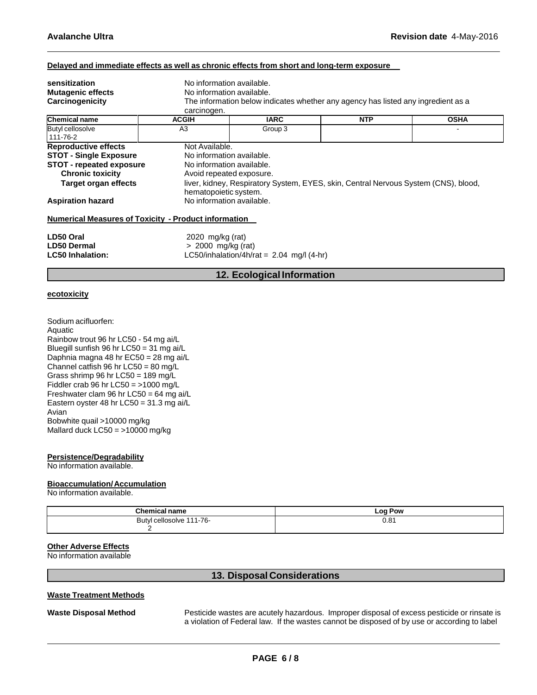#### **Delayed and immediate effects as well as chronic effects from short and long-term exposure**

| sensitization<br><b>Mutagenic effects</b><br>Carcinogenicity                                                                                                                          | carcinogen.                              | No information available.<br>No information available.<br>The information below indicates whether any agency has listed any ingredient as a                                                                                                       |            |             |  |
|---------------------------------------------------------------------------------------------------------------------------------------------------------------------------------------|------------------------------------------|---------------------------------------------------------------------------------------------------------------------------------------------------------------------------------------------------------------------------------------------------|------------|-------------|--|
| <b>Chemical name</b>                                                                                                                                                                  | <b>ACGIH</b>                             | <b>IARC</b>                                                                                                                                                                                                                                       | <b>NTP</b> | <b>OSHA</b> |  |
| <b>Butyl cellosolve</b><br>111-76-2                                                                                                                                                   | A <sub>3</sub>                           | Group 3                                                                                                                                                                                                                                           |            |             |  |
| <b>Reproductive effects</b><br><b>STOT - Single Exposure</b><br><b>STOT - repeated exposure</b><br><b>Chronic toxicity</b><br><b>Target organ effects</b><br><b>Aspiration hazard</b> |                                          | Not Available.<br>No information available.<br>No information available.<br>Avoid repeated exposure.<br>liver, kidney, Respiratory System, EYES, skin, Central Nervous System (CNS), blood,<br>hematopoietic system.<br>No information available. |            |             |  |
| <b>Numerical Measures of Toxicity - Product information</b>                                                                                                                           |                                          |                                                                                                                                                                                                                                                   |            |             |  |
| LD50 Oral<br><b>LD50 Dermal</b><br><b>LC50 Inhalation:</b>                                                                                                                            | 2020 mg/kg (rat)<br>$> 2000$ mg/kg (rat) | LC50/inhalation/4h/rat = $2.04$ mg/l (4-hr)                                                                                                                                                                                                       |            |             |  |

# **12. Ecological Information**

#### **ecotoxicity**

Sodium acifluorfen: Aquatic Rainbow trout 96 hr LC50 - 54 mg ai/L Bluegill sunfish 96 hr LC50 = 31 mg ai/L Daphnia magna 48 hr EC50 = 28 mg ai/L Channel catfish 96 hr LC50 = 80 mg/L Grass shrimp 96 hr LC50 = 189 mg/L Fiddler crab 96 hr  $LC50 = >1000$  mg/L Freshwater clam 96 hr LC50 = 64 mg ai/L Eastern oyster 48 hr LC50 = 31.3 mg ai/L Avian Bobwhite quail >10000 mg/kg Mallard duck  $LC50 = >10000$  mg/kg

#### **Persistence/Degradability**

No information available.

#### **Bioaccumulation/Accumulation**

No information available.

| <b>Chemical name</b>                               | ∟oo<br>Pow |  |  |
|----------------------------------------------------|------------|--|--|
| $1 - 76 -$<br>111<br>l cellosolve i<br><b>Butv</b> | 0.81       |  |  |
|                                                    |            |  |  |

# **Other Adverse Effects**

No information available

# **13. Disposal Considerations**

#### **Waste Treatment Methods**

**Waste Disposal Method** Pesticide wastes are acutely hazardous. Improper disposal of excess pesticide or rinsate is a violation of Federal law. If the wastes cannot be disposed of by use or according to label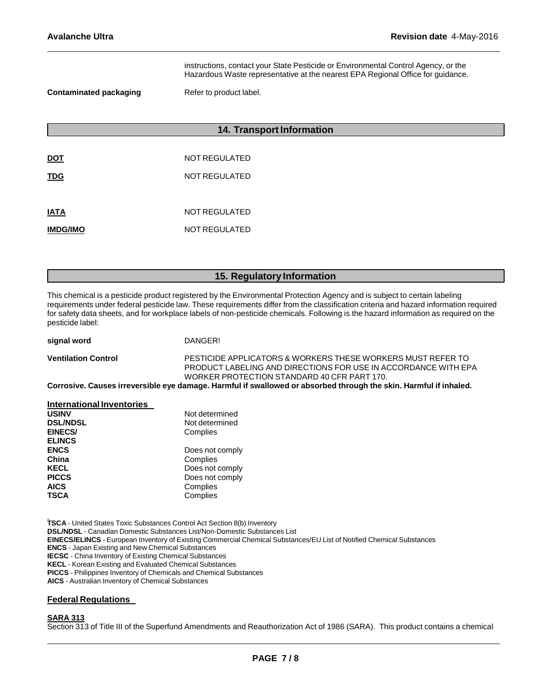instructions, contact your State Pesticide or Environmental Control Agency, or the Hazardous Waste representative at the nearest EPA Regional Office for guidance.

**Contaminated packaging Refer to product label.** 

#### **14. Transport Information**

| <b>DOT</b>      | NOT REGULATED |
|-----------------|---------------|
| <b>TDG</b>      | NOT REGULATED |
|                 |               |
| <b>IATA</b>     | NOT REGULATED |
| <b>IMDG/IMO</b> | NOT REGULATED |

#### **15. Regulatory Information**

This chemical is a pesticide product registered by the Environmental Protection Agency and is subject to certain labeling requirements under federal pesticide law. These requirements differ from the classification criteria and hazard information required for safety data sheets, and for workplace labels of non-pesticide chemicals. Following is the hazard information as required on the pesticide label:

| signal word                | DANGER!                                                                                                                              |
|----------------------------|--------------------------------------------------------------------------------------------------------------------------------------|
| <b>Ventilation Control</b> | PESTICIDE APPLICATORS & WORKERS THESE WORKERS MUST REFER TO<br><b>PRODUCT LABELING AND DIRECTIONS FOR USE IN ACCORDANCE WITH EPA</b> |
|                            | WORKER PROTECTION STANDARD 40 CFR PART 170.                                                                                          |
|                            |                                                                                                                                      |

Corrosive. Causes irreversible eye damage. Harmful if swallowed or absorbed through the skin. Harmful if inhaled.

| International Inventories |                 |
|---------------------------|-----------------|
| <b>USINV</b>              | Not determined  |
| <b>DSL/NDSL</b>           | Not determined  |
| <b>EINECS/</b>            | Complies        |
| <b>ELINCS</b>             |                 |
| <b>ENCS</b>               | Does not comply |
| China                     | Complies        |
| <b>KECL</b>               | Does not comply |
| <b>PICCS</b>              | Does not comply |
| <b>AICS</b>               | Complies        |
| <b>TSCA</b>               | Complies        |
|                           |                 |

**TSCA** - United States Toxic Substances Control Act Section 8(b) Inventory **DSL/NDSL** - Canadian Domestic Substances List/Non-Domestic Substances List **EINECS/ELINCS** - European Inventory of Existing Commercial Chemical Substances/EU List of Notified Chemical Substances **ENCS** - Japan Existing and New Chemical Substances **IECSC** - China Inventory of Existing Chemical Substances **KECL** - Korean Existing and Evaluated Chemical Substances **PICCS** - Philippines Inventory of Chemicals and Chemical Substances **AICS** - Australian Inventory of Chemical Substances

### **Federal Regulations**

#### **SARA 313**

Section 313 of Title III of the Superfund Amendments and Reauthorization Act of 1986 (SARA). This product contains a chemical